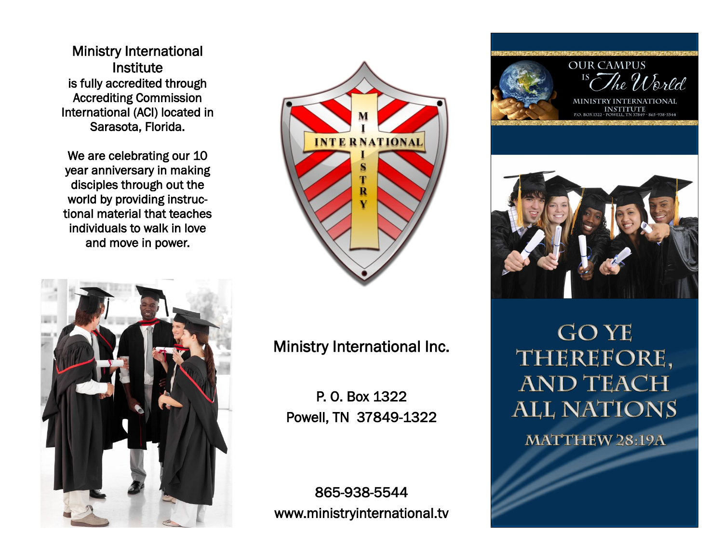Ministry International Institute is fully accredited through Accrediting Commission International (ACI) located in Sarasota, Florida.

We are celebrating our 10 year anniversary in making disciples through out the world by providing instructional material that teaches individuals to walk in love and move in power.





Ministry International Inc.

P. O. Box 1322 Powell, TN 37849-1322

865-938-5544 www.ministryinternational.tv





**GOYE** THEREFORE, **AND TEACH ALL NATIONS** 

**MATTHEW 28:19A**